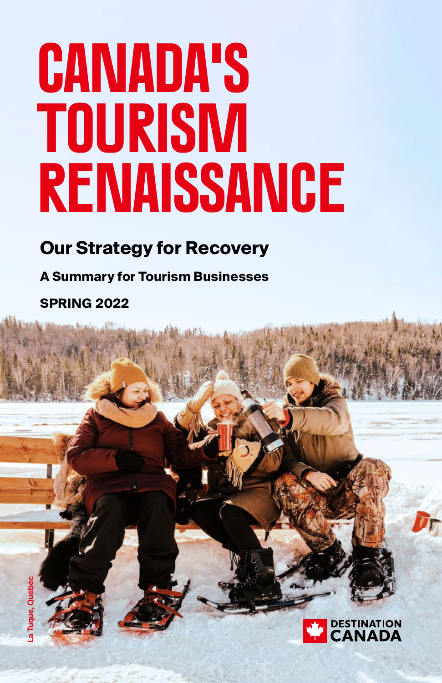# **Canada's Tourism Renaissance**

### **Our Strategy for Recovery**

**A Summary for Tourism Businesses** 

**SPRING 2022**

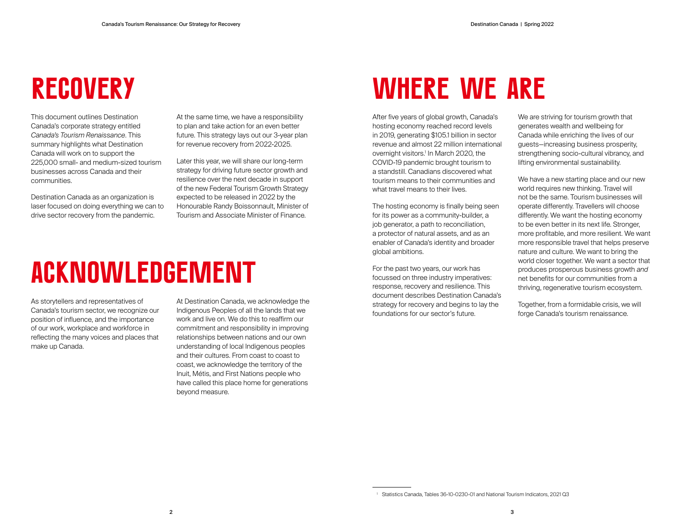# **RECOVERY**

This document outlines Destination Canada's corporate strategy entitled *Canada's Tourism Renaissance*. This summary highlights what Destination Canada will work on to support the 225,000 small- and medium-sized tourism businesses across Canada and their communities.

Destination Canada as an organization is laser focused on doing everything we can to drive sector recovery from the pandemic.

At the same time, we have a responsibility to plan and take action for an even better future. This strategy lays out our 3-year plan for revenue recovery from 2022-2025.

Later this year, we will share our long-term strategy for driving future sector growth and resilience over the next decade in support of the new Federal Tourism Growth Strategy expected to be released in 2022 by the Honourable Randy Boissonnault, Minister of Tourism and Associate Minister of Finance.

# **ACKNOWLEDGEMENT**

As storytellers and representatives of Canada's tourism sector, we recognize our position of influence, and the importance of our work, workplace and workforce in reflecting the many voices and places that make up Canada.

At Destination Canada, we acknowledge the Indigenous Peoples of all the lands that we work and live on. We do this to reaffirm our commitment and responsibility in improving relationships between nations and our own understanding of local Indigenous peoples and their cultures. From coast to coast to coast, we acknowledge the territory of the Inuit, Métis, and First Nations people who have called this place home for generations beyond measure.

# **Where we are**

After five years of global growth, Canada's hosting economy reached record levels in 2019, generating \$105.1 billion in sector revenue and almost 22 million international overnight visitors.1 In March 2020, the COVID-19 pandemic brought tourism to a standstill. Canadians discovered what tourism means to their communities and what travel means to their lives.

The hosting economy is finally being seen for its power as a community-builder, a job generator, a path to reconciliation, a protector of natural assets, and as an enabler of Canada's identity and broader global ambitions.

For the past two years, our work has focussed on three industry imperatives: response, recovery and resilience. This document describes Destination Canada's strategy for recovery and begins to lay the foundations for our sector's future.

We are striving for tourism growth that generates wealth and wellbeing for Canada while enriching the lives of our guests—increasing business prosperity, strengthening socio-cultural vibrancy, and lifting environmental sustainability.

We have a new starting place and our new world requires new thinking. Travel will not be the same. Tourism businesses will operate differently. Travellers will choose differently. We want the hosting economy to be even better in its next life. Stronger, more profitable, and more resilient. We want more responsible travel that helps preserve nature and culture. We want to bring the world closer together. We want a sector that produces prosperous business growth *and* net benefits for our communities from a thriving, regenerative tourism ecosystem.

Together, from a formidable crisis, we will forge Canada's tourism renaissance.

<sup>1</sup> Statistics Canada, Tables 36-10-0230-01 and National Tourism Indicators, 2021 Q3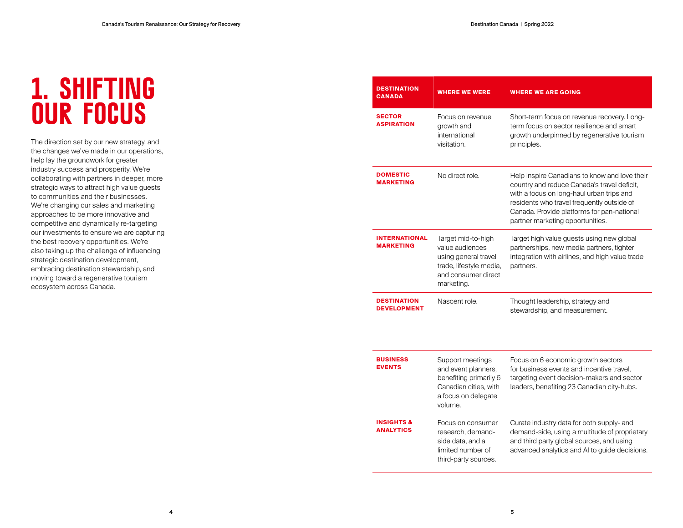# **1. SHIFTING OUR FOCUS**

The direction set by our new strategy, and the changes we've made in our operations, help lay the groundwork for greater industry success and prosperity. We're collaborating with partners in deeper, more strategic ways to attract high value guests to communities and their businesses. We're changing our sales and marketing approaches to be more innovative and competitive and dynamically re-targeting our investments to ensure we are capturing the best recovery opportunities. We're also taking up the challenge of influencing strategic destination development, embracing destination stewardship, and moving toward a regenerative tourism ecosystem across Canada.

| <b>DESTINATION</b><br><b>CANADA</b>                       | <b>WHERE WE WERE</b>                                                                                                          | <b>WHERE WE ARE GOING</b>                                                                                                                                                                                                                                                 |  |
|-----------------------------------------------------------|-------------------------------------------------------------------------------------------------------------------------------|---------------------------------------------------------------------------------------------------------------------------------------------------------------------------------------------------------------------------------------------------------------------------|--|
| <b>SECTOR</b><br><b>ASPIRATION</b>                        | Focus on revenue<br>growth and<br>international<br>visitation.                                                                | Short-term focus on revenue recovery. Long-<br>term focus on sector resilience and smart<br>growth underpinned by regenerative tourism<br>principles.                                                                                                                     |  |
| <b>DOMESTIC</b><br><b>MARKETING</b>                       | No direct role.                                                                                                               | Help inspire Canadians to know and love their<br>country and reduce Canada's travel deficit,<br>with a focus on long-haul urban trips and<br>residents who travel frequently outside of<br>Canada. Provide platforms for pan-national<br>partner marketing opportunities. |  |
| <b>INTERNATIONAL</b><br><b>MARKETING</b>                  | Target mid-to-high<br>value audiences<br>using general travel<br>trade, lifestyle media,<br>and consumer direct<br>marketing. | Target high value guests using new global<br>partnerships, new media partners, tighter<br>integration with airlines, and high value trade<br>partners.                                                                                                                    |  |
| <b>DESTINATION</b><br>Nascent role.<br><b>DEVELOPMENT</b> |                                                                                                                               | Thought leadership, strategy and<br>stewardship, and measurement.                                                                                                                                                                                                         |  |
| <b>BUSINESS</b><br><b>EVENTS</b>                          | Support meetings<br>and event planners,<br>benefiting primarily 6<br>Canadian cities, with<br>a focus on delegate<br>volume.  | Focus on 6 economic growth sectors<br>for business events and incentive travel,<br>targeting event decision-makers and sector<br>leaders, benefiting 23 Canadian city-hubs.                                                                                               |  |
| <b>INSIGHTS &amp;</b><br><b>ANALYTICS</b>                 | Focus on consumer<br>research, demand-<br>side data, and a<br>limited number of                                               | Curate industry data for both supply- and<br>demand-side, using a multitude of proprietary<br>and third party global sources, and using<br>advanced analytics and AI to guide decisions.                                                                                  |  |

third-party sources.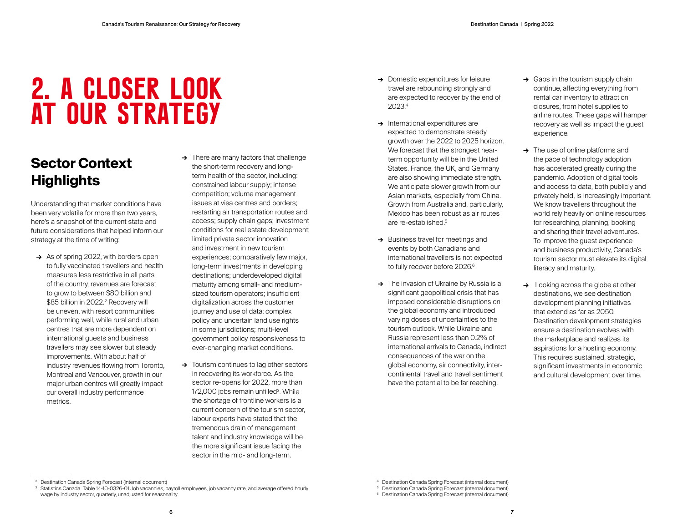# **2. A CLOSER LOOK AT OUR STRATEGY**

### **Sector Context Highlights**

Understanding that market conditions have been very volatile for more than two years, here's a snapshot of the current state and future considerations that helped inform our strategy at the time of writing:

- **→** As of spring 2022, with borders open to fully vaccinated travellers and health measures less restrictive in all parts of the country, revenues are forecast to grow to between \$80 billion and \$85 billion in 2022.2 Recovery will be uneven, with resort communities performing well, while rural and urban centres that are more dependent on international guests and business travellers may see slower but steady improvements. With about half of industry revenues flowing from Toronto, Montreal and Vancouver, growth in our major urban centres will greatly impact our overall industry performance metrics.
- **→** There are many factors that challenge the short-term recovery and longterm health of the sector, including: constrained labour supply; intense competition; volume management issues at visa centres and borders; restarting air transportation routes and access; supply chain gaps; investment conditions for real estate development; limited private sector innovation and investment in new tourism experiences; comparatively few major, long-term investments in developing destinations; underdeveloped digital maturity among small- and mediumsized tourism operators; insufficient digitalization across the customer journey and use of data; complex policy and uncertain land use rights in some jurisdictions; multi-level government policy responsiveness to ever-changing market conditions.
- **→** Tourism continues to lag other sectors in recovering its workforce. As the sector re-opens for 2022, more than 172,000 jobs remain unfilled<sup>3</sup>. While the shortage of frontline workers is a current concern of the tourism sector, labour experts have stated that the tremendous drain of management talent and industry knowledge will be the more significant issue facing the sector in the mid- and long-term.
- **→** Domestic expenditures for leisure travel are rebounding strongly and are expected to recover by the end of 2023.4
- **→** International expenditures are expected to demonstrate steady growth over the 2022 to 2025 horizon. We forecast that the strongest nearterm opportunity will be in the United States. France, the UK, and Germany are also showing immediate strength. We anticipate slower growth from our Asian markets, especially from China. Growth from Australia and, particularly, Mexico has been robust as air routes are re-established.<sup>5</sup>
- **→** Business travel for meetings and events by both Canadians and international travellers is not expected to fully recover before 2026.<sup>6</sup>
- **→** The invasion of Ukraine by Russia is a significant geopolitical crisis that has imposed considerable disruptions on the global economy and introduced varying doses of uncertainties to the tourism outlook. While Ukraine and Russia represent less than 0.2% of international arrivals to Canada, indirect consequences of the war on the global economy, air connectivity, intercontinental travel and travel sentiment have the potential to be far reaching.
- **→** Gaps in the tourism supply chain continue, affecting everything from rental car inventory to attraction closures, from hotel supplies to airline routes. These gaps will hamper recovery as well as impact the guest experience.
- **→** The use of online platforms and the pace of technology adoption has accelerated greatly during the pandemic. Adoption of digital tools and access to data, both publicly and privately held, is increasingly important. We know travellers throughout the world rely heavily on online resources for researching, planning, booking and sharing their travel adventures. To improve the guest experience and business productivity, Canada's tourism sector must elevate its digital literacy and maturity.
- **→** Looking across the globe at other destinations, we see destination development planning initiatives that extend as far as 2050. Destination development strategies ensure a destination evolves with the marketplace and realizes its aspirations for a hosting economy. This requires sustained, strategic, significant investments in economic and cultural development over time.

<sup>2</sup> Destination Canada Spring Forecast (internal document)

<sup>&</sup>lt;sup>3</sup> Statistics Canada. Table 14-10-0326-01 Job vacancies, payroll employees, job vacancy rate, and average offered hourly wage by industry sector, quarterly, unadjusted for seasonality

Destination Canada Spring Forecast (internal document)

<sup>5</sup> Destination Canada Spring Forecast (internal document)

<sup>6</sup> Destination Canada Spring Forecast (internal document)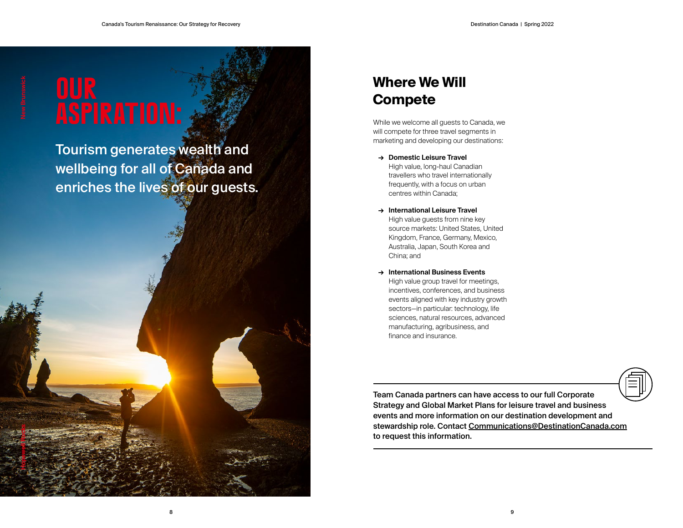# **Hopewell Rocks New Brunswick**

# **Our**

Tourism generates wealth and wellbeing for all of Canada and enriches the lives of our guests.

### **Where We Will Compete**

While we welcome all guests to Canada, we will compete for three travel segments in marketing and developing our destinations:

- **→ Domestic Leisure Travel**  High value, long-haul Canadian travellers who travel internationally frequently, with a focus on urban centres within Canada;
- **→ International Leisure Travel**  High value guests from nine key source markets: United States, United Kingdom, France, Germany, Mexico, Australia, Japan, South Korea and China; and
- **→ International Business Events**  High value group travel for meetings. incentives, conferences, and business events aligned with key industry growth sectors—in particular: technology, life sciences, natural resources, advanced manufacturing, agribusiness, and finance and insurance.



Team Canada partners can have access to our full Corporate Strategy and Global Market Plans for leisure travel and business events and more information on our destination development and stewardship role. Contact [Communications@DestinationCanada.com](mailto:Communications%40DestinationCanada.com?subject=) to request this information.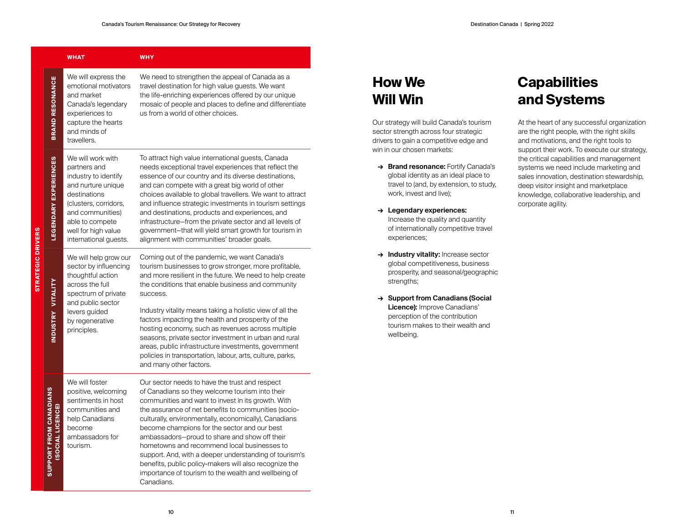|                                                         | <b>WHAT</b>                                                                                                                                                                                                     | <b>WHY</b>                                                                                                                                                                                                                                                                                                                                                                                                                                                                                                                                                                                                          |
|---------------------------------------------------------|-----------------------------------------------------------------------------------------------------------------------------------------------------------------------------------------------------------------|---------------------------------------------------------------------------------------------------------------------------------------------------------------------------------------------------------------------------------------------------------------------------------------------------------------------------------------------------------------------------------------------------------------------------------------------------------------------------------------------------------------------------------------------------------------------------------------------------------------------|
| <b>BRAND RESONANCE</b>                                  | We will express the<br>emotional motivators<br>and market<br>Canada's legendary<br>experiences to<br>capture the hearts<br>and minds of<br>travellers.                                                          | We need to strengthen the appeal of Canada as a<br>travel destination for high value guests. We want<br>the life-enriching experiences offered by our unique<br>mosaic of people and places to define and differentiate<br>us from a world of other choices.                                                                                                                                                                                                                                                                                                                                                        |
| <b>LEGENDARY EXPERIENCES</b>                            | We will work with<br>partners and<br>industry to identify<br>and nurture unique<br>destinations<br>(clusters, corridors,<br>and communities)<br>able to compete<br>well for high value<br>international guests. | To attract high value international guests, Canada<br>needs exceptional travel experiences that reflect the<br>essence of our country and its diverse destinations,<br>and can compete with a great big world of other<br>choices available to global travellers. We want to attract<br>and influence strategic investments in tourism settings<br>and destinations, products and experiences, and<br>infrastructure-from the private sector and all levels of<br>government-that will yield smart growth for tourism in<br>alignment with communities' broader goals.                                              |
| <b>INDUSTRY VITALITY</b>                                | We will help grow our<br>sector by influencing<br>thoughtful action<br>across the full<br>spectrum of private<br>and public sector<br>levers guided<br>by regenerative<br>principles.                           | Coming out of the pandemic, we want Canada's<br>tourism businesses to grow stronger, more profitable,<br>and more resilient in the future. We need to help create<br>the conditions that enable business and community<br>success.<br>Industry vitality means taking a holistic view of all the<br>factors impacting the health and prosperity of the<br>hosting economy, such as revenues across multiple<br>seasons, private sector investment in urban and rural<br>areas, public infrastructure investments, government<br>policies in transportation, labour, arts, culture, parks,<br>and many other factors. |
| <b>SUPPORT FROM CANADIANS</b><br><b>ISOCIAL LICENCE</b> | We will foster<br>positive, welcoming<br>sentiments in host<br>communities and<br>help Canadians<br>become<br>ambassadors for<br>tourism.                                                                       | Our sector needs to have the trust and respect<br>of Canadians so they welcome tourism into their<br>communities and want to invest in its growth. With<br>the assurance of net benefits to communities (socio-<br>culturally, environmentally, economically), Canadians<br>become champions for the sector and our best<br>ambassadors-proud to share and show off their<br>hometowns and recommend local businesses to<br>support. And, with a deeper understanding of tourism's<br>benefits, public policy-makers will also recognize the<br>importance of tourism to the wealth and wellbeing of<br>Canadians.  |

**STRATEGIC DRIVERS**

STRATEGIC DRIVERS

### **How We Will Win**

Our strategy will build Canada's tourism sector strength across four strategic drivers to gain a competitive edge and win in our chosen markets:

- **→ Brand resonance:** Fortify Canada's global identity as an ideal place to travel to (and, by extension, to study, work, invest and live);
- **→ Legendary experiences:** Increase the quality and quantity of internationally competitive travel experiences;
- **→ Industry vitality:** Increase sector global competitiveness, business prosperity, and seasonal/geographic strengths;
- **→ Support from Canadians (Social Licence):** Improve Canadians' perception of the contribution tourism makes to their wealth and wellbeing.

### **Capabilities and Systems**

At the heart of any successful organization are the right people, with the right skills and motivations, and the right tools to support their work. To execute our strategy, the critical capabilities and management systems we need include marketing and sales innovation, destination stewardship, deep visitor insight and marketplace knowledge, collaborative leadership, and corporate agility.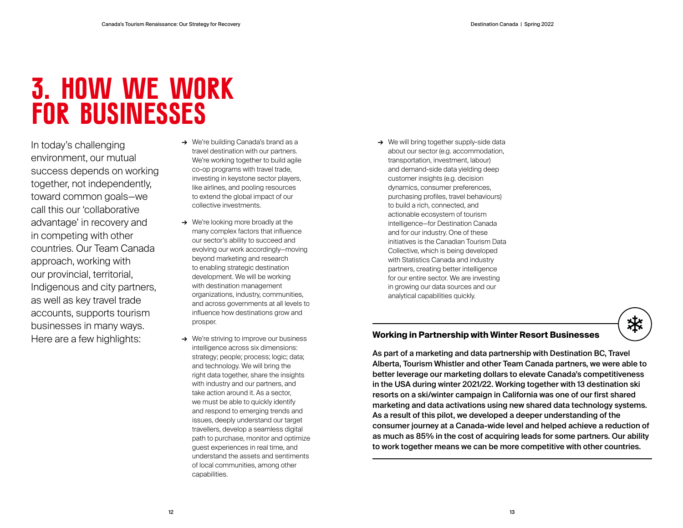## **3. HOW WE WORK FOR BUSINESSES**

In today's challenging environment, our mutual success depends on working together, not independently, toward common goals—we call this our 'collaborative advantage' in recovery and in competing with other countries. Our Team Canada approach, working with our provincial, territorial, Indigenous and city partners, as well as key travel trade accounts, supports tourism businesses in many ways. Here are a few highlights:

- **→** We're building Canada's brand as a travel destination with our partners. We're working together to build agile co-op programs with travel trade, investing in keystone sector players, like airlines, and pooling resources to extend the global impact of our collective investments.
- **→** We're looking more broadly at the many complex factors that influence our sector's ability to succeed and evolving our work accordingly—moving beyond marketing and research to enabling strategic destination development. We will be working with destination management organizations, industry, communities, and across governments at all levels to influence how destinations grow and prosper.
- **→** We're striving to improve our business intelligence across six dimensions: strategy; people; process; logic; data; and technology. We will bring the right data together, share the insights with industry and our partners, and take action around it. As a sector, we must be able to quickly identify and respond to emerging trends and issues, deeply understand our target travellers, develop a seamless digital path to purchase, monitor and optimize guest experiences in real time, and understand the assets and sentiments of local communities, among other capabilities.

**→** We will bring together supply-side data about our sector (e.g. accommodation, transportation, investment, labour) and demand-side data yielding deep customer insights (e.g. decision dynamics, consumer preferences, purchasing profiles, travel behaviours) to build a rich, connected, and actionable ecosystem of tourism intelligence—for Destination Canada and for our industry. One of these initiatives is the Canadian Tourism Data Collective, which is being developed with Statistics Canada and industry partners, creating better intelligence for our entire sector. We are investing in growing our data sources and our analytical capabilities quickly.

### **Working in Partnership with Winter Resort Businesses**

As part of a marketing and data partnership with Destination BC, Travel Alberta, Tourism Whistler and other Team Canada partners, we were able to better leverage our marketing dollars to elevate Canada's competitiveness in the USA during winter 2021/22. Working together with 13 destination ski resorts on a ski/winter campaign in California was one of our first shared marketing and data activations using new shared data technology systems. As a result of this pilot, we developed a deeper understanding of the consumer journey at a Canada-wide level and helped achieve a reduction of as much as 85% in the cost of acquiring leads for some partners. Our ability to work together means we can be more competitive with other countries.

茶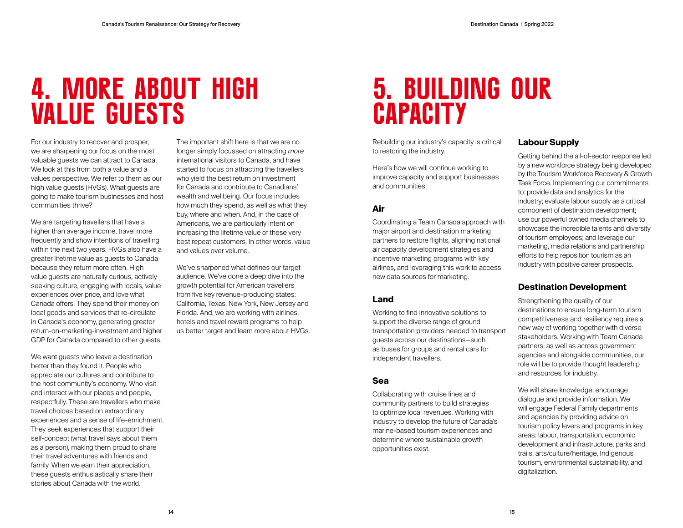# **4. MORE ABOUT HIGH VALUE GUESTS**

For our industry to recover and prosper, we are sharpening our focus on the most valuable guests we can attract to Canada. We look at this from both a value and a values perspective. We refer to them as our high value guests (HVGs). What guests are going to make tourism businesses and host communities thrive?

We are targeting travellers that have a higher than average income, travel more frequently and show intentions of travelling within the next two years. HVGs also have a greater lifetime value as guests to Canada because they return more often. High value guests are naturally curious, actively seeking culture, engaging with locals, value experiences over price, and love what Canada offers. They spend their money on local goods and services that re-circulate in Canada's economy, generating greater return-on-marketing-investment and higher GDP for Canada compared to other guests.

We want guests who leave a destination better than they found it. People who appreciate our cultures and contribute to the host community's economy. Who visit and interact with our places and people, respectfully. These are travellers who make travel choices based on extraordinary experiences and a sense of life-enrichment. They seek experiences that support their self-concept (what travel says about them as a person), making them proud to share their travel adventures with friends and family. When we earn their appreciation, these guests enthusiastically share their stories about Canada with the world.

The important shift here is that we are no longer simply focussed on attracting *more* international visitors to Canada, and have started to focus on attracting the travellers who yield the best return on investment for Canada and contribute to Canadians' wealth and wellbeing. Our focus includes how much they spend, as well as what they buy, where and when. And, in the case of Americans, we are particularly intent on increasing the lifetime value of these very best repeat customers. In other words, value and values over volume.

We've sharpened what defines our target audience. We've done a deep dive into the growth potential for American travellers from five key revenue-producing states: California, Texas, New York, New Jersey and Florida. And, we are working with airlines, hotels and travel reward programs to help us better target and learn more about HVGs.

# **5. BUILDING OUR CAPACITY**

Rebuilding our industry's capacity is critical to restoring the industry.

Here's how we will continue working to improve capacity and support businesses and communities:

### **Air**

Coordinating a Team Canada approach with major airport and destination marketing partners to restore flights, aligning national air capacity development strategies and incentive marketing programs with key airlines, and leveraging this work to access new data sources for marketing.

### **Land**

Working to find innovative solutions to support the diverse range of ground transportation providers needed to transport guests across our destinations—such as buses for groups and rental cars for independent travellers.

### **Sea**

Collaborating with cruise lines and community partners to build strategies to optimize local revenues. Working with industry to develop the future of Canada's marine-based tourism experiences and determine where sustainable growth opportunities exist.

### **Labour Supply**

Getting behind the all-of-sector response led by a new workforce strategy being developed by the Tourism Workforce Recovery & Growth Task Force. Implementing our commitments to: provide data and analytics for the industry; evaluate labour supply as a critical component of destination development; use our powerful owned media channels to showcase the incredible talents and diversity of tourism employees; and leverage our marketing, media relations and partnership efforts to help reposition tourism as an industry with positive career prospects.

### **Destination Development**

Strengthening the quality of our destinations to ensure long-term tourism competitiveness and resiliency requires a new way of working together with diverse stakeholders. Working with Team Canada partners, as well as across government agencies and alongside communities, our role will be to provide thought leadership and resources for industry.

We will share knowledge, encourage dialogue and provide information. We will engage Federal Family departments and agencies by providing advice on tourism policy levers and programs in key areas: labour, transportation, economic development and infrastructure, parks and trails, arts/culture/heritage, Indigenous tourism, environmental sustainability, and digitalization.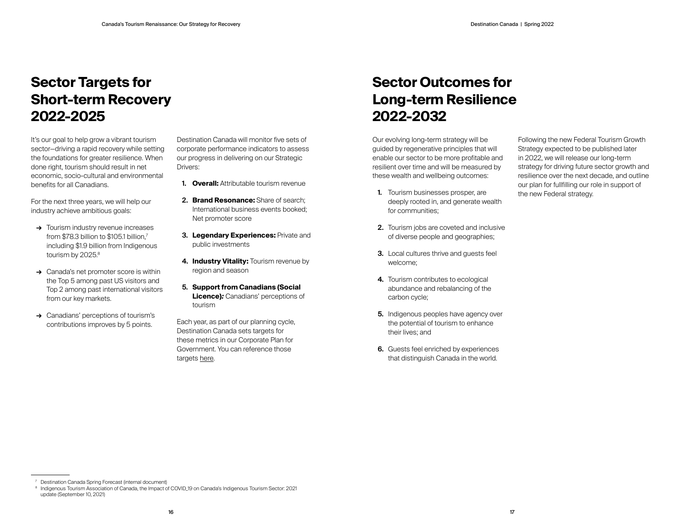### **Sector Targets for Short-term Recovery 2022-2025**

It's our goal to help grow a vibrant tourism sector—driving a rapid recovery while setting the foundations for greater resilience. When done right, tourism should result in net economic, socio-cultural and environmental benefits for all Canadians.

For the next three years, we will help our industry achieve ambitious goals:

- **→** Tourism industry revenue increases from \$78.3 billion to \$105.1 billion.<sup>7</sup> including \$1.9 billion from Indigenous tourism by 2025.8
- **→** Canada's net promoter score is within the Top 5 among past US visitors and Top 2 among past international visitors from our key markets.
- **→** Canadians' perceptions of tourism's contributions improves by 5 points.

Destination Canada will monitor five sets of corporate performance indicators to assess our progress in delivering on our Strategic Drivers:

- **1. Overall:** Attributable tourism revenue
- **2. Brand Resonance:** Share of search; International business events booked; Net promoter score
- **3. Legendary Experiences:** Private and public investments
- **4. Industry Vitality:** Tourism revenue by region and season
- **5. Support from Canadians (Social Licence)***:* Canadians' perceptions of tourism

Each year, as part of our planning cycle, Destination Canada sets targets for these metrics in our Corporate Plan for Government. You can reference those targets [here.](https://www.destinationcanada.com/sites/default/files/archive/1568-Destination%20Canada%20Corporate%20Plan%20Amendment%20Summary%20-%202021-2025/2021-2025%20Corporate%20Plan%20Amendment%20Summary.pdf)

### **Sector Outcomes for Long-term Resilience 2022-2032**

Our evolving long-term strategy will be guided by regenerative principles that will enable our sector to be more profitable and resilient over time and will be measured by these wealth and wellbeing outcomes:

- **1.** Tourism businesses prosper, are deeply rooted in, and generate wealth for communities;
- **2.** Tourism jobs are coveted and inclusive of diverse people and geographies;
- **3.** Local cultures thrive and guests feel welcome;
- **4.** Tourism contributes to ecological abundance and rebalancing of the carbon cycle;
- **5.** Indigenous peoples have agency over the potential of tourism to enhance their lives; and
- **6.** Guests feel enriched by experiences that distinguish Canada in the world.

Following the new Federal Tourism Growth Strategy expected to be published later in 2022, we will release our long-term strategy for driving future sector growth and resilience over the next decade, and outline our plan for fullfilling our role in support of the new Federal strategy.

Destination Canada Spring Forecast (internal document)

<sup>&</sup>lt;sup>8</sup> Indigenous Tourism Association of Canada, the Impact of COVID<sub>-19</sub> on Canada's Indigenous Tourism Sector: 2021 update (September 10, 2021)